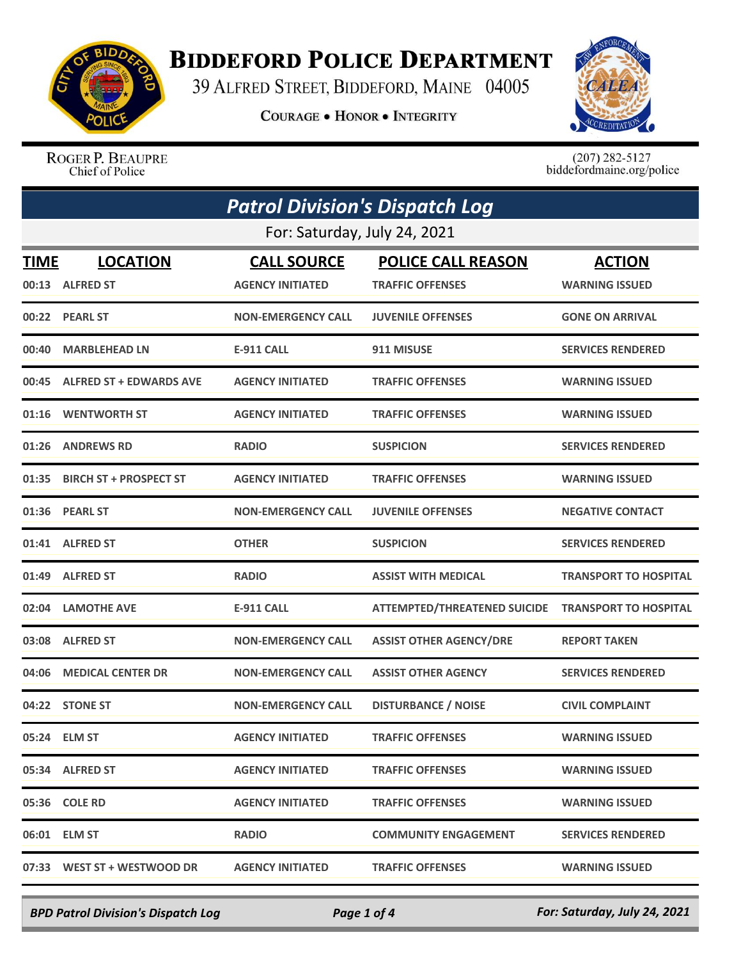

## **BIDDEFORD POLICE DEPARTMENT**

39 ALFRED STREET, BIDDEFORD, MAINE 04005

**COURAGE . HONOR . INTEGRITY** 



ROGER P. BEAUPRE Chief of Police

 $(207)$  282-5127<br>biddefordmaine.org/police

| <b>Patrol Division's Dispatch Log</b> |                                    |                                               |                                                      |                                        |  |
|---------------------------------------|------------------------------------|-----------------------------------------------|------------------------------------------------------|----------------------------------------|--|
|                                       | For: Saturday, July 24, 2021       |                                               |                                                      |                                        |  |
| TIME                                  | <b>LOCATION</b><br>00:13 ALFRED ST | <b>CALL SOURCE</b><br><b>AGENCY INITIATED</b> | <b>POLICE CALL REASON</b><br><b>TRAFFIC OFFENSES</b> | <b>ACTION</b><br><b>WARNING ISSUED</b> |  |
|                                       | 00:22 PEARL ST                     | <b>NON-EMERGENCY CALL</b>                     | <b>JUVENILE OFFENSES</b>                             | <b>GONE ON ARRIVAL</b>                 |  |
|                                       | 00:40 MARBLEHEAD LN                | <b>E-911 CALL</b>                             | 911 MISUSE                                           | <b>SERVICES RENDERED</b>               |  |
|                                       | 00:45 ALFRED ST + EDWARDS AVE      | <b>AGENCY INITIATED</b>                       | <b>TRAFFIC OFFENSES</b>                              | <b>WARNING ISSUED</b>                  |  |
|                                       | 01:16 WENTWORTH ST                 | <b>AGENCY INITIATED</b>                       | <b>TRAFFIC OFFENSES</b>                              | <b>WARNING ISSUED</b>                  |  |
|                                       | 01:26 ANDREWS RD                   | <b>RADIO</b>                                  | <b>SUSPICION</b>                                     | <b>SERVICES RENDERED</b>               |  |
|                                       | 01:35 BIRCH ST + PROSPECT ST       | <b>AGENCY INITIATED</b>                       | <b>TRAFFIC OFFENSES</b>                              | <b>WARNING ISSUED</b>                  |  |
|                                       | 01:36 PEARL ST                     | <b>NON-EMERGENCY CALL</b>                     | <b>JUVENILE OFFENSES</b>                             | <b>NEGATIVE CONTACT</b>                |  |
|                                       | 01:41 ALFRED ST                    | <b>OTHER</b>                                  | <b>SUSPICION</b>                                     | <b>SERVICES RENDERED</b>               |  |
|                                       | 01:49 ALFRED ST                    | <b>RADIO</b>                                  | <b>ASSIST WITH MEDICAL</b>                           | <b>TRANSPORT TO HOSPITAL</b>           |  |
|                                       | 02:04 LAMOTHE AVE                  | <b>E-911 CALL</b>                             | ATTEMPTED/THREATENED SUICIDE TRANSPORT TO HOSPITAL   |                                        |  |
|                                       | 03:08 ALFRED ST                    | <b>NON-EMERGENCY CALL</b>                     | <b>ASSIST OTHER AGENCY/DRE</b>                       | <b>REPORT TAKEN</b>                    |  |
| 04:06                                 | <b>MEDICAL CENTER DR</b>           | <b>NON-EMERGENCY CALL</b>                     | <b>ASSIST OTHER AGENCY</b>                           | <b>SERVICES RENDERED</b>               |  |
|                                       | 04:22 STONE ST                     | <b>NON-EMERGENCY CALL</b>                     | <b>DISTURBANCE / NOISE</b>                           | <b>CIVIL COMPLAINT</b>                 |  |
|                                       | 05:24 ELM ST                       | <b>AGENCY INITIATED</b>                       | <b>TRAFFIC OFFENSES</b>                              | <b>WARNING ISSUED</b>                  |  |
|                                       | 05:34 ALFRED ST                    | <b>AGENCY INITIATED</b>                       | <b>TRAFFIC OFFENSES</b>                              | <b>WARNING ISSUED</b>                  |  |
|                                       | 05:36 COLE RD                      | <b>AGENCY INITIATED</b>                       | <b>TRAFFIC OFFENSES</b>                              | <b>WARNING ISSUED</b>                  |  |
|                                       | 06:01 ELM ST                       | <b>RADIO</b>                                  | <b>COMMUNITY ENGAGEMENT</b>                          | <b>SERVICES RENDERED</b>               |  |
|                                       | 07:33 WEST ST + WESTWOOD DR        | <b>AGENCY INITIATED</b>                       | <b>TRAFFIC OFFENSES</b>                              | <b>WARNING ISSUED</b>                  |  |

*BPD Patrol Division's Dispatch Log Page 1 of 4 For: Saturday, July 24, 2021*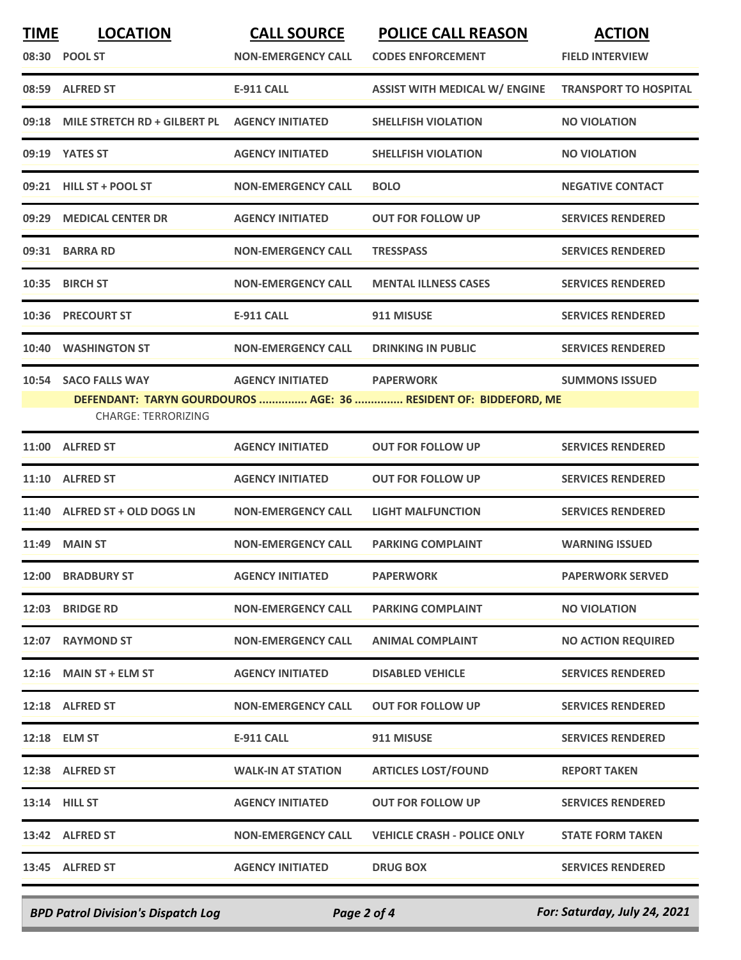| <b>TIME</b> | <b>LOCATION</b><br>08:30 POOL ST                    | <b>CALL SOURCE</b><br><b>NON-EMERGENCY CALL</b> | <b>POLICE CALL REASON</b><br><b>CODES ENFORCEMENT</b>                                | <b>ACTION</b><br><b>FIELD INTERVIEW</b> |
|-------------|-----------------------------------------------------|-------------------------------------------------|--------------------------------------------------------------------------------------|-----------------------------------------|
|             | 08:59 ALFRED ST                                     | <b>E-911 CALL</b>                               | <b>ASSIST WITH MEDICAL W/ ENGINE</b>                                                 | <b>TRANSPORT TO HOSPITAL</b>            |
| 09:18       | MILE STRETCH RD + GILBERT PL                        | <b>AGENCY INITIATED</b>                         | <b>SHELLFISH VIOLATION</b>                                                           | <b>NO VIOLATION</b>                     |
| 09:19       | <b>YATES ST</b>                                     | <b>AGENCY INITIATED</b>                         | <b>SHELLFISH VIOLATION</b>                                                           | <b>NO VIOLATION</b>                     |
|             | 09:21 HILL ST + POOL ST                             | <b>NON-EMERGENCY CALL</b>                       | <b>BOLO</b>                                                                          | <b>NEGATIVE CONTACT</b>                 |
| 09:29       | <b>MEDICAL CENTER DR</b>                            | <b>AGENCY INITIATED</b>                         | <b>OUT FOR FOLLOW UP</b>                                                             | <b>SERVICES RENDERED</b>                |
| 09:31       | <b>BARRA RD</b>                                     | <b>NON-EMERGENCY CALL</b>                       | <b>TRESSPASS</b>                                                                     | <b>SERVICES RENDERED</b>                |
| 10:35       | <b>BIRCH ST</b>                                     | <b>NON-EMERGENCY CALL</b>                       | <b>MENTAL ILLNESS CASES</b>                                                          | <b>SERVICES RENDERED</b>                |
| 10:36       | <b>PRECOURT ST</b>                                  | E-911 CALL                                      | 911 MISUSE                                                                           | <b>SERVICES RENDERED</b>                |
| 10:40       | <b>WASHINGTON ST</b>                                | <b>NON-EMERGENCY CALL</b>                       | <b>DRINKING IN PUBLIC</b>                                                            | <b>SERVICES RENDERED</b>                |
| 10:54       | <b>SACO FALLS WAY</b><br><b>CHARGE: TERRORIZING</b> | <b>AGENCY INITIATED</b>                         | <b>PAPERWORK</b><br>DEFENDANT: TARYN GOURDOUROS  AGE: 36  RESIDENT OF: BIDDEFORD, ME | <b>SUMMONS ISSUED</b>                   |
| 11:00       | <b>ALFRED ST</b>                                    | <b>AGENCY INITIATED</b>                         | <b>OUT FOR FOLLOW UP</b>                                                             | <b>SERVICES RENDERED</b>                |
| 11:10       | <b>ALFRED ST</b>                                    | <b>AGENCY INITIATED</b>                         | <b>OUT FOR FOLLOW UP</b>                                                             | <b>SERVICES RENDERED</b>                |
|             | 11:40 ALFRED ST + OLD DOGS LN                       | <b>NON-EMERGENCY CALL</b>                       | <b>LIGHT MALFUNCTION</b>                                                             | <b>SERVICES RENDERED</b>                |
| 11:49       | <b>MAIN ST</b>                                      | <b>NON-EMERGENCY CALL</b>                       | <b>PARKING COMPLAINT</b>                                                             | <b>WARNING ISSUED</b>                   |
|             | 12:00 BRADBURY ST                                   | <b>AGENCY INITIATED</b>                         | <b>PAPERWORK</b>                                                                     | <b>PAPERWORK SERVED</b>                 |
|             | 12:03 BRIDGE RD                                     | <b>NON-EMERGENCY CALL</b>                       | <b>PARKING COMPLAINT</b>                                                             | <b>NO VIOLATION</b>                     |
|             | 12:07 RAYMOND ST                                    | <b>NON-EMERGENCY CALL</b>                       | <b>ANIMAL COMPLAINT</b>                                                              | <b>NO ACTION REQUIRED</b>               |
|             | 12:16 MAIN ST + ELM ST                              | <b>AGENCY INITIATED</b>                         | <b>DISABLED VEHICLE</b>                                                              | <b>SERVICES RENDERED</b>                |
|             | 12:18 ALFRED ST                                     | <b>NON-EMERGENCY CALL</b>                       | <b>OUT FOR FOLLOW UP</b>                                                             | <b>SERVICES RENDERED</b>                |
|             | 12:18 ELM ST                                        | E-911 CALL                                      | 911 MISUSE                                                                           | <b>SERVICES RENDERED</b>                |
|             | 12:38 ALFRED ST                                     | <b>WALK-IN AT STATION</b>                       | <b>ARTICLES LOST/FOUND</b>                                                           | <b>REPORT TAKEN</b>                     |
|             | 13:14 HILL ST                                       | <b>AGENCY INITIATED</b>                         | <b>OUT FOR FOLLOW UP</b>                                                             | <b>SERVICES RENDERED</b>                |
|             | 13:42 ALFRED ST                                     | <b>NON-EMERGENCY CALL</b>                       | <b>VEHICLE CRASH - POLICE ONLY</b>                                                   | <b>STATE FORM TAKEN</b>                 |
|             | 13:45 ALFRED ST                                     | <b>AGENCY INITIATED</b>                         | <b>DRUG BOX</b>                                                                      | <b>SERVICES RENDERED</b>                |
|             |                                                     |                                                 |                                                                                      |                                         |

*BPD Patrol Division's Dispatch Log Page 2 of 4 For: Saturday, July 24, 2021*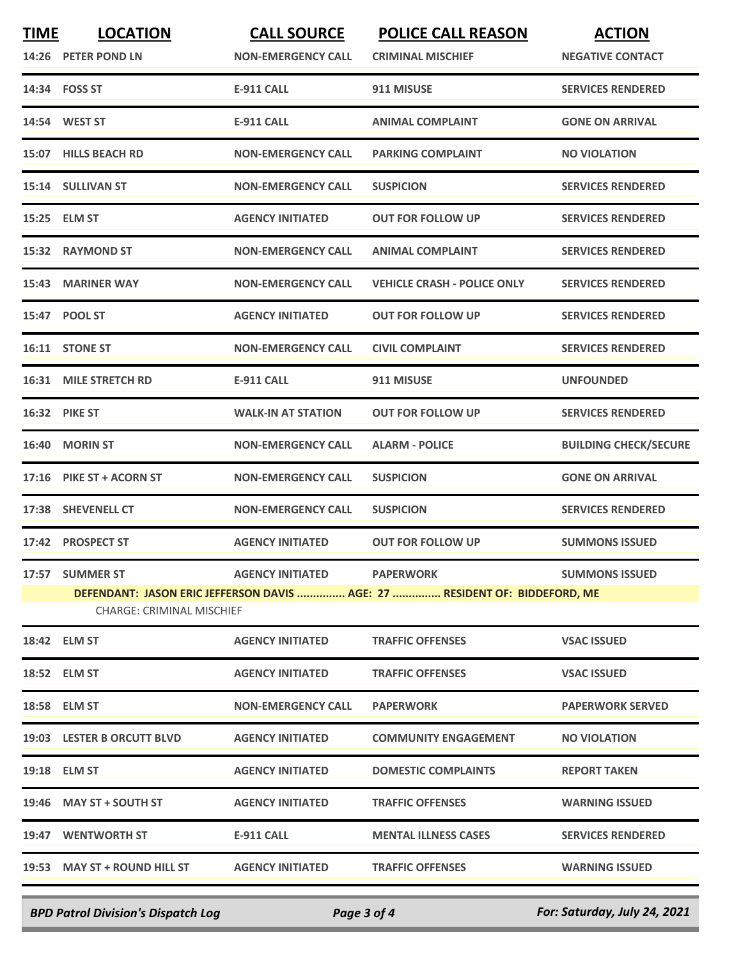| <b>TIME</b> | <b>LOCATION</b><br>14:26 PETER POND LN                                                                         | <b>CALL SOURCE</b><br><b>NON-EMERGENCY CALL</b> | <b>POLICE CALL REASON</b><br><b>CRIMINAL MISCHIEF</b> | <b>ACTION</b><br><b>NEGATIVE CONTACT</b> |  |
|-------------|----------------------------------------------------------------------------------------------------------------|-------------------------------------------------|-------------------------------------------------------|------------------------------------------|--|
|             | 14:34 FOSS ST                                                                                                  | <b>E-911 CALL</b>                               | 911 MISUSE                                            | <b>SERVICES RENDERED</b>                 |  |
|             | 14:54 WEST ST                                                                                                  | <b>E-911 CALL</b>                               | <b>ANIMAL COMPLAINT</b>                               | <b>GONE ON ARRIVAL</b>                   |  |
|             | 15:07 HILLS BEACH RD                                                                                           | <b>NON-EMERGENCY CALL</b>                       | <b>PARKING COMPLAINT</b>                              | <b>NO VIOLATION</b>                      |  |
|             | 15:14 SULLIVAN ST                                                                                              | <b>NON-EMERGENCY CALL</b>                       | <b>SUSPICION</b>                                      | <b>SERVICES RENDERED</b>                 |  |
|             | 15:25 ELM ST                                                                                                   | <b>AGENCY INITIATED</b>                         | <b>OUT FOR FOLLOW UP</b>                              | <b>SERVICES RENDERED</b>                 |  |
|             | 15:32 RAYMOND ST                                                                                               | <b>NON-EMERGENCY CALL</b>                       | <b>ANIMAL COMPLAINT</b>                               | <b>SERVICES RENDERED</b>                 |  |
|             | 15:43 MARINER WAY                                                                                              | <b>NON-EMERGENCY CALL</b>                       | <b>VEHICLE CRASH - POLICE ONLY</b>                    | <b>SERVICES RENDERED</b>                 |  |
|             | 15:47 POOL ST                                                                                                  | <b>AGENCY INITIATED</b>                         | <b>OUT FOR FOLLOW UP</b>                              | <b>SERVICES RENDERED</b>                 |  |
|             | 16:11 STONE ST                                                                                                 | <b>NON-EMERGENCY CALL</b>                       | <b>CIVIL COMPLAINT</b>                                | <b>SERVICES RENDERED</b>                 |  |
|             | 16:31 MILE STRETCH RD                                                                                          | <b>E-911 CALL</b>                               | 911 MISUSE                                            | <b>UNFOUNDED</b>                         |  |
|             | 16:32 PIKE ST                                                                                                  | <b>WALK-IN AT STATION</b>                       | <b>OUT FOR FOLLOW UP</b>                              | <b>SERVICES RENDERED</b>                 |  |
| 16:40       | <b>MORIN ST</b>                                                                                                | <b>NON-EMERGENCY CALL</b>                       | <b>ALARM - POLICE</b>                                 | <b>BUILDING CHECK/SECURE</b>             |  |
|             | 17:16 PIKE ST + ACORN ST                                                                                       | <b>NON-EMERGENCY CALL</b>                       | <b>SUSPICION</b>                                      | <b>GONE ON ARRIVAL</b>                   |  |
| 17:38       | <b>SHEVENELL CT</b>                                                                                            | <b>NON-EMERGENCY CALL</b>                       | <b>SUSPICION</b>                                      | <b>SERVICES RENDERED</b>                 |  |
| 17:42       | <b>PROSPECT ST</b>                                                                                             | <b>AGENCY INITIATED</b>                         | <b>OUT FOR FOLLOW UP</b>                              | <b>SUMMONS ISSUED</b>                    |  |
|             | 17:57 SUMMER ST                                                                                                | <b>AGENCY INITIATED</b>                         | <b>PAPERWORK</b>                                      | <b>SUMMONS ISSUED</b>                    |  |
|             | DEFENDANT: JASON ERIC JEFFERSON DAVIS  AGE: 27  RESIDENT OF: BIDDEFORD, ME<br><b>CHARGE: CRIMINAL MISCHIEF</b> |                                                 |                                                       |                                          |  |
|             | 18:42 ELM ST                                                                                                   | <b>AGENCY INITIATED</b>                         | <b>TRAFFIC OFFENSES</b>                               | <b>VSAC ISSUED</b>                       |  |
|             | 18:52 ELM ST                                                                                                   | <b>AGENCY INITIATED</b>                         | <b>TRAFFIC OFFENSES</b>                               | <b>VSAC ISSUED</b>                       |  |
|             | 18:58 ELM ST                                                                                                   | <b>NON-EMERGENCY CALL</b>                       | <b>PAPERWORK</b>                                      | <b>PAPERWORK SERVED</b>                  |  |
|             | 19:03 LESTER B ORCUTT BLVD                                                                                     | <b>AGENCY INITIATED</b>                         | <b>COMMUNITY ENGAGEMENT</b>                           | <b>NO VIOLATION</b>                      |  |
|             | 19:18 ELM ST                                                                                                   | <b>AGENCY INITIATED</b>                         | <b>DOMESTIC COMPLAINTS</b>                            | <b>REPORT TAKEN</b>                      |  |
|             | 19:46 MAY ST + SOUTH ST                                                                                        | <b>AGENCY INITIATED</b>                         | <b>TRAFFIC OFFENSES</b>                               | <b>WARNING ISSUED</b>                    |  |
|             | 19:47 WENTWORTH ST                                                                                             | E-911 CALL                                      | <b>MENTAL ILLNESS CASES</b>                           | <b>SERVICES RENDERED</b>                 |  |
|             | 19:53 MAY ST + ROUND HILL ST                                                                                   | <b>AGENCY INITIATED</b>                         | <b>TRAFFIC OFFENSES</b>                               | <b>WARNING ISSUED</b>                    |  |
|             |                                                                                                                |                                                 |                                                       |                                          |  |

*BPD Patrol Division's Dispatch Log Page 3 of 4 For: Saturday, July 24, 2021*